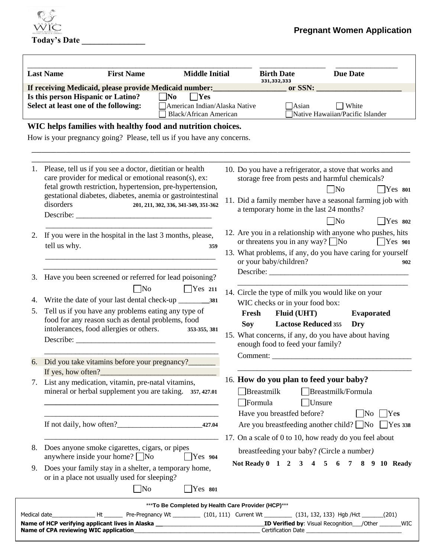

| <b>First Name</b><br><b>Middle Initial</b><br><b>Last Name</b>                                                                                      |                                                                                                                                                                                                                                                           |                                      |            | <b>Birth Date</b><br>331,332,333 |                                                                                                                         | <b>Due Date</b>                                                                                                                                                                                                                           |                        |
|-----------------------------------------------------------------------------------------------------------------------------------------------------|-----------------------------------------------------------------------------------------------------------------------------------------------------------------------------------------------------------------------------------------------------------|--------------------------------------|------------|----------------------------------|-------------------------------------------------------------------------------------------------------------------------|-------------------------------------------------------------------------------------------------------------------------------------------------------------------------------------------------------------------------------------------|------------------------|
|                                                                                                                                                     | If receiving Medicaid, please provide Medicaid number:                                                                                                                                                                                                    | $\Box$ Yes                           |            |                                  | or SSN:                                                                                                                 |                                                                                                                                                                                                                                           |                        |
| Is this person Hispanic or Latino?<br>$\Box$ No<br>Select at least one of the following:<br>American Indian/Alaska Native<br>Black/African American |                                                                                                                                                                                                                                                           |                                      |            |                                  | Asian                                                                                                                   | $\Box$ White<br>Native Hawaiian/Pacific Islander                                                                                                                                                                                          |                        |
|                                                                                                                                                     | WIC helps families with healthy food and nutrition choices.                                                                                                                                                                                               |                                      |            |                                  |                                                                                                                         |                                                                                                                                                                                                                                           |                        |
|                                                                                                                                                     | How is your pregnancy going? Please, tell us if you have any concerns.                                                                                                                                                                                    |                                      |            |                                  |                                                                                                                         |                                                                                                                                                                                                                                           |                        |
| 1.                                                                                                                                                  | Please, tell us if you see a doctor, dietitian or health<br>care provider for medical or emotional reason(s), ex:<br>fetal growth restriction, hypertension, pre-hypertension,<br>gestational diabetes, diabetes, anemia or gastrointestinal<br>disorders | 201, 211, 302, 336, 341-349, 351-362 |            |                                  |                                                                                                                         | 10. Do you have a refrigerator, a stove that works and<br>storage free from pests and harmful chemicals?<br>$\Box$ No<br>11. Did a family member have a seasonal farming job with<br>a temporary home in the last 24 months?<br>$\neg$ No | $ $ Yes 801<br>Yes 802 |
| 2.                                                                                                                                                  | If you were in the hospital in the last 3 months, please,<br>tell us why.                                                                                                                                                                                 | 359                                  |            | or your baby/children?           | or threatens you in any way? $\Box$ No                                                                                  | 12. Are you in a relationship with anyone who pushes, hits<br>13. What problems, if any, do you have caring for yourself                                                                                                                  | $\vert$ Yes 901        |
| 3.                                                                                                                                                  | Have you been screened or referred for lead poisoning?<br>$\Box$ No                                                                                                                                                                                       | $Yes$ 211                            |            |                                  |                                                                                                                         | 14. Circle the type of milk you would like on your                                                                                                                                                                                        |                        |
| 4.<br>5.                                                                                                                                            | Tell us if you have any problems eating any type of<br>food for any reason such as dental problems, food<br>intolerances, food allergies or others.                                                                                                       | 353-355, 381                         | <b>Soy</b> | Fresh                            | WIC checks or in your food box:<br><b>Fluid (UHT)</b><br><b>Lactose Reduced 355</b><br>enough food to feed your family? | <b>Evaporated</b><br>Dry<br>15. What concerns, if any, do you have about having                                                                                                                                                           |                        |
|                                                                                                                                                     | 6. Did you take vitamins before your pregnancy?                                                                                                                                                                                                           |                                      |            |                                  |                                                                                                                         | Comment:                                                                                                                                                                                                                                  |                        |
|                                                                                                                                                     | If yes, how often?<br>7. List any medication, vitamin, pre-natal vitamins,<br>mineral or herbal supplement you are taking. 357, 427.01                                                                                                                    |                                      |            | $\Box$ Breastmilk<br>Formula     | $\Box$ Unsure<br>Have you breastfed before?                                                                             | 16. How do you plan to feed your baby?<br>Breastmilk/Formula<br>$\vert$ No $\vert$ Yes                                                                                                                                                    |                        |
|                                                                                                                                                     |                                                                                                                                                                                                                                                           |                                      |            |                                  |                                                                                                                         | Are you breastfeeding another child? $\Box$ No $\Box$ Yes 338                                                                                                                                                                             |                        |
| 8.                                                                                                                                                  | Does anyone smoke cigarettes, cigars, or pipes<br>anywhere inside your home? $\Box$ No                                                                                                                                                                    | Yes 904                              |            |                                  |                                                                                                                         | 17. On a scale of 0 to 10, how ready do you feel about<br>breastfeeding your baby? (Circle a number)<br>Not Ready 0 1 2 3 4 5 6 7 8 9 10 Ready                                                                                            |                        |
| 9.                                                                                                                                                  | Does your family stay in a shelter, a temporary home,<br>or in a place not usually used for sleeping?<br>$\Box$ No                                                                                                                                        | $Yes$ 801                            |            |                                  |                                                                                                                         |                                                                                                                                                                                                                                           |                        |

Rev 9/13 Pregnant Women Application Thank you!

**Name of HCP verifying applicant lives in Alaska \_\_**\_\_\_\_\_\_\_\_\_\_\_\_\_\_\_\_\_\_\_\_\_\_\_\_\_\_\_\_\_\_\_\_\_**ID Verified by**: Visual Recognition\_\_\_/Other \_\_\_\_\_\_\_WIC **Name of CPA reviewing WIC application**\_\_\_\_\_\_\_\_\_\_\_\_\_\_\_\_\_\_\_\_\_\_\_\_\_\_\_\_\_\_\_\_\_\_\_\_\_\_\_\_\_ Certification Date \_\_\_\_\_\_\_\_\_\_\_\_\_\_\_\_\_\_\_\_\_\_\_\_\_\_\_\_\_\_\_